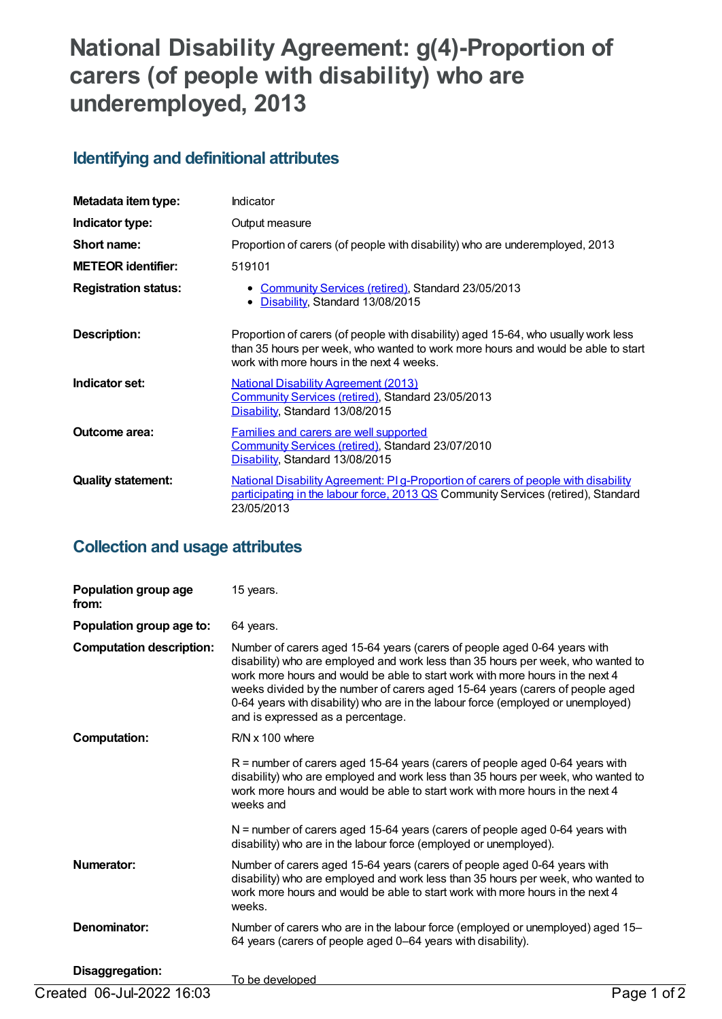# **National Disability Agreement: g(4)-Proportion of carers (of people with disability) who are underemployed, 2013**

# **Identifying and definitional attributes**

| Metadata item type:         | Indicator                                                                                                                                                                                                           |
|-----------------------------|---------------------------------------------------------------------------------------------------------------------------------------------------------------------------------------------------------------------|
| Indicator type:             | Output measure                                                                                                                                                                                                      |
| Short name:                 | Proportion of carers (of people with disability) who are underemployed, 2013                                                                                                                                        |
| <b>METEOR identifier:</b>   | 519101                                                                                                                                                                                                              |
| <b>Registration status:</b> | <b>Community Services (retired), Standard 23/05/2013</b><br>Disability, Standard 13/08/2015                                                                                                                         |
| Description:                | Proportion of carers (of people with disability) aged 15-64, who usually work less<br>than 35 hours per week, who wanted to work more hours and would be able to start<br>work with more hours in the next 4 weeks. |
| Indicator set:              | <b>National Disability Agreement (2013)</b><br>Community Services (retired), Standard 23/05/2013<br>Disability, Standard 13/08/2015                                                                                 |
| <b>Outcome area:</b>        | <b>Families and carers are well supported</b><br>Community Services (retired), Standard 23/07/2010<br>Disability, Standard 13/08/2015                                                                               |
| <b>Quality statement:</b>   | National Disability Agreement: PI g-Proportion of carers of people with disability<br>participating in the labour force, 2013 QS Community Services (retired), Standard<br>23/05/2013                               |

## **Collection and usage attributes**

| Population group age<br>from:   | 15 years.                                                                                                                                                                                                                                                                                                                                                                                                                                               |
|---------------------------------|---------------------------------------------------------------------------------------------------------------------------------------------------------------------------------------------------------------------------------------------------------------------------------------------------------------------------------------------------------------------------------------------------------------------------------------------------------|
| Population group age to:        | 64 years.                                                                                                                                                                                                                                                                                                                                                                                                                                               |
| <b>Computation description:</b> | Number of carers aged 15-64 years (carers of people aged 0-64 years with<br>disability) who are employed and work less than 35 hours per week, who wanted to<br>work more hours and would be able to start work with more hours in the next 4<br>weeks divided by the number of carers aged 15-64 years (carers of people aged<br>0-64 years with disability) who are in the labour force (employed or unemployed)<br>and is expressed as a percentage. |
| <b>Computation:</b>             | $R/N \times 100$ where                                                                                                                                                                                                                                                                                                                                                                                                                                  |
|                                 | $R$ = number of carers aged 15-64 years (carers of people aged 0-64 years with<br>disability) who are employed and work less than 35 hours per week, who wanted to<br>work more hours and would be able to start work with more hours in the next 4<br>weeks and                                                                                                                                                                                        |
|                                 | N = number of carers aged 15-64 years (carers of people aged 0-64 years with<br>disability) who are in the labour force (employed or unemployed).                                                                                                                                                                                                                                                                                                       |
| Numerator:                      | Number of carers aged 15-64 years (carers of people aged 0-64 years with<br>disability) who are employed and work less than 35 hours per week, who wanted to<br>work more hours and would be able to start work with more hours in the next 4<br>weeks.                                                                                                                                                                                                 |
| Denominator:                    | Number of carers who are in the labour force (employed or unemployed) aged 15-<br>64 years (carers of people aged 0-64 years with disability).                                                                                                                                                                                                                                                                                                          |
| Disaggregation:                 | To be developed                                                                                                                                                                                                                                                                                                                                                                                                                                         |
| Created 06-Jul-2022 16:03       | Page 1 of 2                                                                                                                                                                                                                                                                                                                                                                                                                                             |